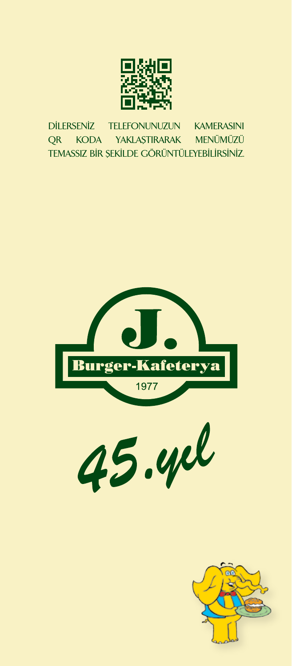

95.00 TL DİLERSENİZ TELEFONUNUZUN KAMERASINI QR KODA YAKLAŞTIRARAK MENÜMÜZÜ TEMASSIZ BİR ŞEKİLDE GÖRÜNTÜLEYEBİLİRSİNİZ.





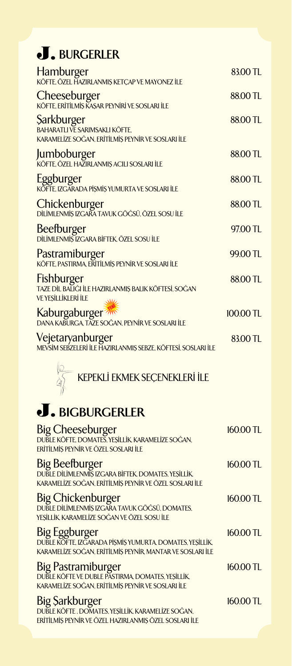## **J.** BURGERLER

| Hamburger<br>Köfte, özel Hazırlanmış ketçap ve mayonez ile                                               | 83.00 TL    |
|----------------------------------------------------------------------------------------------------------|-------------|
| Cheeseburger<br>KÖFTE, ERITİLMİŞ KAŞAR PEYNİRİ VE SOSLARI İLE                                            | 88.00 TL    |
| <b>Sarkburger</b><br>BAHARATLI VE SARIMSAKLI KÖFTE,<br>KARAMELİZE SOĞAN, ERİTİLMİS PEYNİR VE SOSLARI İLE | 88.00 TL    |
| <b>Jumboburger<br/>Köfte, özel hazırlanmış acılı sosları ile</b>                                         | 88.00 TL    |
| Eggburger<br>KÖFTE, IZGARADA PİŞMİŞ YUMURTA VE SOSLARI İLE                                               | 88.00 TL    |
| Chickenburger<br>DİLİMLENMİŞ IZGARA TAVUK GÖĞSÜ, ÖZEL SOSU İLE                                           | 88.00 TL    |
| Beefburger<br>DILİMLENMİŞ IZGARA BİFTEK, ÖZEL SOSU İLE                                                   | 97.00 TL    |
| Pastramiburger<br>KÖFTE, PASTIRMA, ERITILMIŞ PEYNIR VE SOSLARI İLE                                       | 99.00 TL    |
| Fishburger<br>Taze dil balığı ile hazırlanmış balık köftesi, soğan<br><b>VE YEŞİLLİKLERİ İLE</b>         | 88.00 TL    |
| Kaburgaburger <sup>777</sup><br>DANA KABURGA, TAZE SOĞAN, PEYNİR VE SOSLARI İLE                          | $100.00$ TL |
| <b>Vejetaryanburger</b><br>mevsim sebzeleri ile Hazırlanmış sebze, köftesi, sosları ile                  | 83.00 TL    |
|                                                                                                          |             |



# **BIGBURGERLER**

| <b>Big Cheeseburger</b><br>DUBLE KÖFTE, DOMATES, YEŞİLLİK, KARAMELİZE SOĞAN,<br>ERİTİLMİS PEYNİR VE ÖZEL SOSLARI İLE                          | $160.00$ TL |
|-----------------------------------------------------------------------------------------------------------------------------------------------|-------------|
| Big Beefburger<br>DUBLE DILIMLENMIS IZGARA BIFTEK, DOMATES, YEŞİLLIK,<br>KARAMELİZE SOĞAN, ERİTİLMİŞ PEYNİR VE ÖZEL SOSLARI İLE               | 160.00 TL   |
| <b>Big Chickenburger</b><br>DUBLE DİLİMLENMİŞ IZGARA TAVUK GÖĞSÜ, DOMATES,<br>YESİLLİK. KARAMELİZE SOĞAN VE ÖZEL SOSU İLE                     | 160.00 TL   |
| <b>Big Eggburger</b><br>DUBLE KÖFTE, IZGARADA PİŞMİŞ YUMURTA, DOMATES, YEŞİLLİK,<br>KARAMELİZE SOĞAN. ERİTİLMİS PEYNİR. MANTAR VE SOSLARI İLE | 160.00 TL   |
| <b>Big Pastramiburger</b><br>DUBLE KÖFTE VE DUBLE PASTIRMA. DOMATES, YESİLLİK.<br>KARAMELİZE SOĞAN, ERİTİLMİŞ PEYNİR VE SOSLARI İLE           | $160.00$ TL |
| <b>Big Sarkburger</b><br>DUBLE KÖFTE, DOMATES, YEŞİLLİK, KARAMELİZE SOĞAN,<br>ERİTİLMİŞ PEYNİR VE ÖZEL HAZIRLANMIŞ ÖZEL SOSLARI İLE           | 160.00 TL   |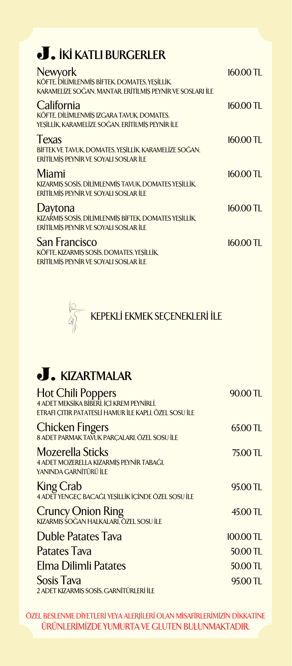## *<u>J. IKI KATLI BURGERLER</u>*

| <b>Newyork</b><br>KÖFTE, DİLİMLENMİŞ BİFTEK, DOMATES, YEŞİLLİK,<br>KARAMELİZE SOĞAN, MANTAR, ERİTİLMİŞ PEYNİR VE SOSLARI İLE | 160.00 TL   |
|------------------------------------------------------------------------------------------------------------------------------|-------------|
| California<br>KÖFTE. DİLİMLENMİS IZGARA TAVUK. DOMATES.<br>YESİLLİK, KARAMELİZE SOĞAN, ERİTİLMİS PEYNİR İLE                  | 160.00 TL   |
| <b>Texas</b><br>BİFTEK VE TAVUK, DOMATES, YESİLLİK, KARAMELİZE SOĞAN,<br>ERITILMIS PEYNIR VE SOYALI SOSLAR İLE               | 160.00 TL   |
| Miami<br>KIZARMIS SOSİS, DİLİMLENMİŞ TAVUK, DOMATES YEŞİLLİK,<br>ERITILMIS PEYNIR VE SOYALI SOSLAR İLE                       | $160.00$ TL |
| Daytona<br>KIZAŔMIS SOSÍS, DÍLÍMLENMÍS BÍFTEK, DOMATES YESÍLLÍK,<br>ERITILMIS PEYNIR VE SOYALI SOSLAR İLE                    | 160.00 TL   |
| <b>San Francisco</b><br>KÖFTE, KIZARMIS SOSİS, DOMATES, YESİLLİK,<br>ERİTİLMİŞ PEYNİR VE SOYALI SOSLAR İLE                   | 160.00 TL   |



## **J.** KIZARTMALAR

| $90.00 \text{ T}$ |
|-------------------|
| 65.00 TL          |
| 75.00 TL          |
| 95.00 TL          |
| 45.00 TL          |
| $100.00$ TL       |
| 50.00 TL          |
| 50.00 TL          |
| 95.00 TL          |
|                   |

ÖZEL BESLENME DİYETLERİ VEYA ALERJİLERİ OLAN MİSAFİRLERİMİZİN DİKKATİNE ÜRÜNLERİMİZDE YUMURTA VE GLUTEN BULUNMAKTADIR.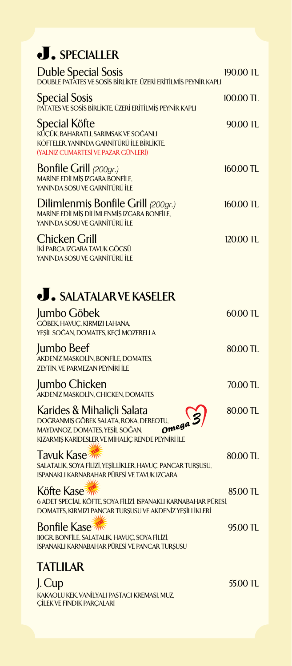# **SPECIALLER**

| Duble Special Sosis<br>DOUBLE PATATES VE SOSIS BIRLIKTE, ÜZERI ERITILMIŞ PEYNIR KAPLI                                                                                                 | 190.00 TL |
|---------------------------------------------------------------------------------------------------------------------------------------------------------------------------------------|-----------|
| <b>Special Sosis</b><br>PATATES VE SOSIS BIRLIKTE, ÜZERİ ERITİLMIŞ PEYNIR KAPLI                                                                                                       | 100.00 TL |
| <b>Special Köfte</b><br>KŰÇÜK, BAHARATLI, SARIMSAK VE SOĞANLI<br>KÖFTELER. YANINDA GARNİTÜRÜ İLE BİRLİKTE.<br>(YALNIZ CUMARTESİ VE PAZAR GÜNLERİ)                                     | 90.00 TL  |
| Bonfile Grill (200gr.)<br><b>MARÍNE EDÍLMÍS IZGARA BONFÍLE.</b><br>YANINDA SOSU VE GARNİTÜRÜ İLE                                                                                      | 160.00 TL |
| Dilimlenmiş Bonfile Grill (200gr.)<br>MARÍNE EDÍLMÍS DÍLÍMLENMÍS IZGARA BONFÍLE,<br>YANINDA SOSU VE GARNİTÜRÜ İLE                                                                     | 160.00 TL |
| <b>Chicken Grill</b><br>İKİ PARCA IZGARA TAVUK GÖGSÜ<br>YANINDA SOSU VE GARNİTÜRÜ İLE                                                                                                 | 120.00 TL |
| <b>. SALATALAR VE KASELER</b>                                                                                                                                                         |           |
| Jumbo Göbek<br>GÖBEK, HAVUÇ, KIRMIZI LAHANA,<br>YEŞİL SOĞAN, DOMATES, KEÇİ MOZERELLA                                                                                                  | 60.00 TL  |
| <b>Jumbo Beef</b><br>AKDENİZ MASKOLİN, BONFİLE, DOMATES,<br>ZEYTİN, VE PARMEZAN PEYNİRİ İLE                                                                                           | 80.00 TL  |
| Jumbo Chicken<br>AKDENİZ MASKOLİN, CHICKEN, DOMATES                                                                                                                                   | 70.00 TL  |
| Karides & Mihaliçli Salata<br>$\frac{10}{2}$ omega 3<br>DOĞRANMIŞ GÖBEK SALATA, ROKA, DEREOTU,<br>MAYDANOZ, DOMATES, YEŞİL SOĞAN,<br>KIZARMIŞ KARİDESLER VE MİHALİÇ RENDE PEYNİRİ İLE | 80.00 TL  |
| Tavuk Kase<br>SALATALIK, SOYA FİLİZİ, YEŞİLLİKLER, HAVUÇ, PANCAR TURŞUSU,<br>ISPANAKLI KARNABAHAR PÜRESİ VE TAVUK IZGARA                                                              | 80.00 TL  |
| Köfte Kase<br>6 ADET SPECIAL KÖFTE, SOYA FİLİZİ, ISPANAKLI KARNABAHAR PÜRESİ,<br>DOMATES, KIRMIZI PANCAR TURŞUSU VE AKDENİZ YEŞİLLİKLERİ                                              | 85.00 TL  |
| <b>Bonfile Kase</b><br><b>IIOGR. BONFİLE, SALATALIK, HAVUÇ, SOYA FİLİZİ,</b><br>ISPANAKLI KARNABAHAR PÜRESİ VE PANCAR TURŞUSU                                                         | 95.00 TL  |
| <b>TATLILAR</b>                                                                                                                                                                       |           |
| J. Cup<br>KAKAOLU KEK, VANİLYALI PASTACI KREMASI, MUZ,<br>CILEK VE FINDIK PARCALARI                                                                                                   | 55.00 TL  |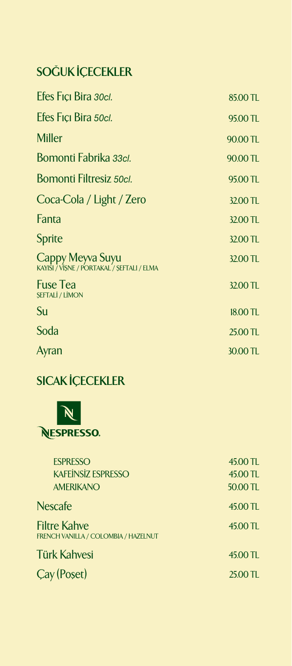### **SOĞUK İÇECEKLER**

| Efes Fiçi Bira 30cl.                                           | 85.00 TL |
|----------------------------------------------------------------|----------|
| Efes Fiçi Bira 50cl.                                           | 95.00 TL |
| <b>Miller</b>                                                  | 90.00 TL |
| Bomonti Fabrika 33cl.                                          | 90.00 TL |
| Bomonti Filtresiz 50cl.                                        | 95.00 TL |
| Coca-Cola / Light / Zero                                       | 32.00 TL |
| Fanta                                                          | 32.00 TL |
| Sprite                                                         | 32.00 TL |
| Cappy Meyva Suyu<br>KAYISI / VISNE / PORTAKAL / SEFTALI / ELMA | 32.00 TL |
| <b>Fuse Tea</b><br><b>SEFTALI / LIMON</b>                      | 32.00 TL |
| Su                                                             | 18.00 TL |
| Soda                                                           | 25.00 TL |
| Ayran                                                          | 30.00 TL |

### **SICAK İÇECEKLER**



| <b>ESPRESSO</b><br><b>KAFEİNSİZ ESPRESSO</b><br><b>AMERIKANO</b> | 45.00 TL<br>45.00 TL<br>50.00 TL |
|------------------------------------------------------------------|----------------------------------|
| <b>Nescafe</b>                                                   | 45.00 TL                         |
| <b>Filtre Kahve</b><br>FRENCH VANILLA / COLOMBIA / HAZELNUT      | 45.00 TL                         |
| <b>Türk Kahvesi</b>                                              | 45.00 TL                         |
| Cay (Poset)                                                      | 25.00 TL                         |